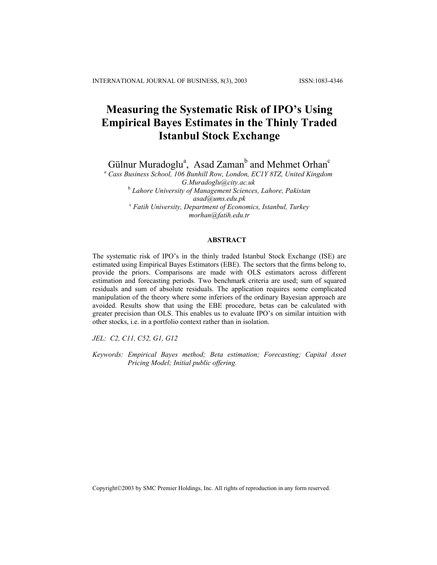# **Measuring the Systematic Risk of IPO's Using Empirical Bayes Estimates in the Thinly Traded Istanbul Stock Exchange**

Gülnur Muradoglu<sup>a</sup>, Asad Zaman<sup>b</sup> and Mehmet Orhan<sup>c</sup>

<sup>a</sup> Cass Business School, 106 Bunhill Row, London, EC1Y 8TZ, United Kingdom *G.Muradoglu@city.ac.uk*  <sup>b</sup> *Lahore University of Management Sciences, Lahore, Pakistan asad@ums.edu.pk* <sup>c</sup> *Fatih University, Department of Economics, Istanbul, Turkey morhan@fatih.edu.tr*

# **ABSTRACT**

The systematic risk of IPO's in the thinly traded Istanbul Stock Exchange (ISE) are estimated using Empirical Bayes Estimators (EBE). The sectors that the firms belong to, provide the priors. Comparisons are made with OLS estimators across different estimation and forecasting periods. Two benchmark criteria are used; sum of squared residuals and sum of absolute residuals. The application requires some complicated manipulation of the theory where some inferiors of the ordinary Bayesian approach are avoided. Results show that using the EBE procedure, betas can be calculated with greater precision than OLS. This enables us to evaluate IPO's on similar intuition with other stocks, i.e. in a portfolio context rather than in isolation.

*JEL: C2, C11, C52, G1, G12* 

*Keywords: Empirical Bayes method; Beta estimation; Forecasting; Capital Asset Pricing Model; Initial public offering.* 

Copyright2003 by SMC Premier Holdings, Inc. All rights of reproduction in any form reserved.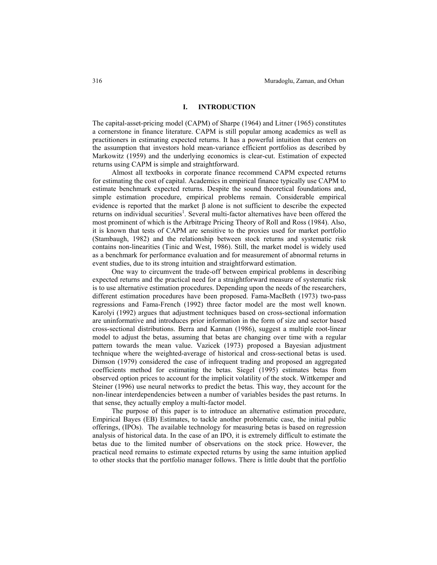# **I. INTRODUCTION**

The capital-asset-pricing model (CAPM) of Sharpe (1964) and Litner (1965) constitutes a cornerstone in finance literature. CAPM is still popular among academics as well as practitioners in estimating expected returns. It has a powerful intuition that centers on the assumption that investors hold mean-variance efficient portfolios as described by Markowitz (1959) and the underlying economics is clear-cut. Estimation of expected returns using CAPM is simple and straightforward.

Almost all textbooks in corporate finance recommend CAPM expected returns for estimating the cost of capital. Academics in empirical finance typically use CAPM to estimate benchmark expected returns. Despite the sound theoretical foundations and, simple estimation procedure, empirical problems remain. Considerable empirical evidence is reported that the market β alone is not sufficient to describe the expected returns on individual securities<sup>1</sup>. Several multi-factor alternatives have been offered the most prominent of which is the Arbitrage Pricing Theory of Roll and Ross (1984). Also, it is known that tests of CAPM are sensitive to the proxies used for market portfolio (Stambaugh, 1982) and the relationship between stock returns and systematic risk contains non-linearities (Tinic and West, 1986). Still, the market model is widely used as a benchmark for performance evaluation and for measurement of abnormal returns in event studies, due to its strong intuition and straightforward estimation.

One way to circumvent the trade-off between empirical problems in describing expected returns and the practical need for a straightforward measure of systematic risk is to use alternative estimation procedures. Depending upon the needs of the researchers, different estimation procedures have been proposed. Fama-MacBeth (1973) two-pass regressions and Fama-French (1992) three factor model are the most well known. Karolyi (1992) argues that adjustment techniques based on cross-sectional information are uninformative and introduces prior information in the form of size and sector based cross-sectional distributions. Berra and Kannan (1986), suggest a multiple root-linear model to adjust the betas, assuming that betas are changing over time with a regular pattern towards the mean value. Vazicek (1973) proposed a Bayesian adjustment technique where the weighted-average of historical and cross-sectional betas is used. Dimson (1979) considered the case of infrequent trading and proposed an aggregated coefficients method for estimating the betas. Siegel (1995) estimates betas from observed option prices to account for the implicit volatility of the stock. Wittkemper and Steiner (1996) use neural networks to predict the betas. This way, they account for the non-linear interdependencies between a number of variables besides the past returns. In that sense, they actually employ a multi-factor model.

The purpose of this paper is to introduce an alternative estimation procedure, Empirical Bayes (EB) Estimates, to tackle another problematic case, the initial public offerings, (IPOs). The available technology for measuring betas is based on regression analysis of historical data. In the case of an IPO, it is extremely difficult to estimate the betas due to the limited number of observations on the stock price. However, the practical need remains to estimate expected returns by using the same intuition applied to other stocks that the portfolio manager follows. There is little doubt that the portfolio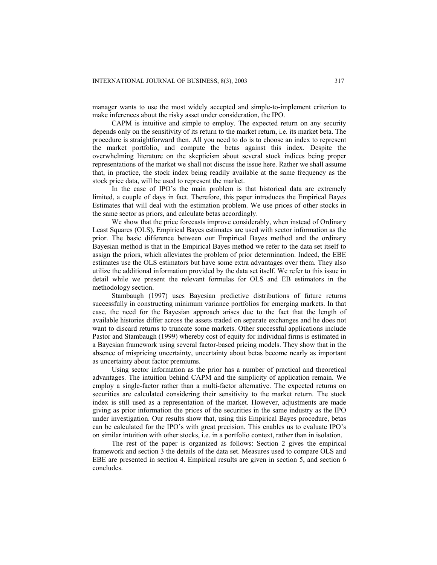manager wants to use the most widely accepted and simple-to-implement criterion to make inferences about the risky asset under consideration, the IPO.

CAPM is intuitive and simple to employ. The expected return on any security depends only on the sensitivity of its return to the market return, i.e. its market beta. The procedure is straightforward then. All you need to do is to choose an index to represent the market portfolio, and compute the betas against this index. Despite the overwhelming literature on the skepticism about several stock indices being proper representations of the market we shall not discuss the issue here. Rather we shall assume that, in practice, the stock index being readily available at the same frequency as the stock price data, will be used to represent the market.

In the case of IPO's the main problem is that historical data are extremely limited, a couple of days in fact. Therefore, this paper introduces the Empirical Bayes Estimates that will deal with the estimation problem. We use prices of other stocks in the same sector as priors, and calculate betas accordingly.

We show that the price forecasts improve considerably, when instead of Ordinary Least Squares (OLS), Empirical Bayes estimates are used with sector information as the prior. The basic difference between our Empirical Bayes method and the ordinary Bayesian method is that in the Empirical Bayes method we refer to the data set itself to assign the priors, which alleviates the problem of prior determination. Indeed, the EBE estimates use the OLS estimators but have some extra advantages over them. They also utilize the additional information provided by the data set itself. We refer to this issue in detail while we present the relevant formulas for OLS and EB estimators in the methodology section.

Stambaugh (1997) uses Bayesian predictive distributions of future returns successfully in constructing minimum variance portfolios for emerging markets. In that case, the need for the Bayesian approach arises due to the fact that the length of available histories differ across the assets traded on separate exchanges and he does not want to discard returns to truncate some markets. Other successful applications include Pastor and Stambaugh (1999) whereby cost of equity for individual firms is estimated in a Bayesian framework using several factor-based pricing models. They show that in the absence of mispricing uncertainty, uncertainty about betas become nearly as important as uncertainty about factor premiums.

Using sector information as the prior has a number of practical and theoretical advantages. The intuition behind CAPM and the simplicity of application remain. We employ a single-factor rather than a multi-factor alternative. The expected returns on securities are calculated considering their sensitivity to the market return. The stock index is still used as a representation of the market. However, adjustments are made giving as prior information the prices of the securities in the same industry as the IPO under investigation. Our results show that, using this Empirical Bayes procedure, betas can be calculated for the IPO's with great precision. This enables us to evaluate IPO's on similar intuition with other stocks, i.e. in a portfolio context, rather than in isolation.

The rest of the paper is organized as follows: Section 2 gives the empirical framework and section 3 the details of the data set. Measures used to compare OLS and EBE are presented in section 4. Empirical results are given in section 5, and section 6 concludes.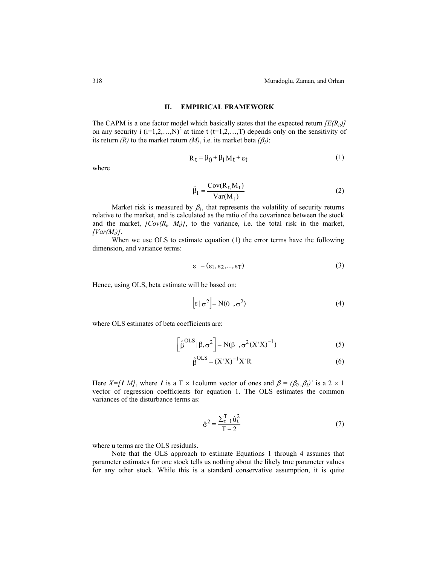# **II. EMPIRICAL FRAMEWORK**

The CAPM is a one factor model which basically states that the expected return  $/ E(R_{ii})/$ on any security i  $(i=1,2,...,N)^2$  at time t  $(t=1,2,...,T)$  depends only on the sensitivity of its return *(R)* to the market return *(M)*, i.e. its market beta  $(\beta_l)$ :

$$
R_t = \beta_0 + \beta_1 M_t + \varepsilon_t \tag{1}
$$

where

$$
\hat{\beta}_1 = \frac{\text{Cov}(R_t, M_t)}{\text{Var}(M_t)}
$$
\n(2)

Market risk is measured by  $\beta_l$ , that represents the volatility of security returns relative to the market, and is calculated as the ratio of the covariance between the stock and the market,  $[Cov(R_t, M_t)]$ , to the variance, i.e. the total risk in the market,  $[Var(M_t)]$ .

When we use OLS to estimate equation (1) the error terms have the following dimension, and variance terms:

$$
\varepsilon = (\varepsilon_1, \varepsilon_2, ..., \varepsilon_T) \tag{3}
$$

Hence, using OLS, beta estimate will be based on:

$$
\left[\varepsilon \mid \sigma^2\right] = N(0^{\circ}, \sigma^2) \tag{4}
$$

where OLS estimates of beta coefficients are:

$$
\left[\hat{\beta}^{OLS}|\beta,\sigma^2\right] = N(\beta^{\circ},\sigma^2(X^*X)^{-1})
$$
\n(5)

$$
\hat{\beta}^{OLS} = (X'X)^{-1}X'R
$$
\n(6)

Here  $X=[1 \; M]$ , where *1* is a T × 1 column vector of ones and  $\beta = (\beta_0, \beta_1)'$  is a 2 × 1 vector of regression coefficients for equation 1. The OLS estimates the common variances of the disturbance terms as:

$$
\hat{\sigma}^2 = \frac{\sum_{t=1}^{T} \hat{u}_t^2}{T - 2}
$$
 (7)

where u terms are the OLS residuals.

Note that the OLS approach to estimate Equations 1 through 4 assumes that parameter estimates for one stock tells us nothing about the likely true parameter values for any other stock. While this is a standard conservative assumption, it is quite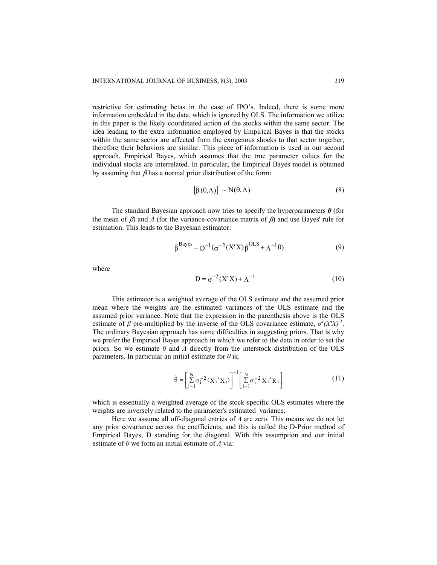restrictive for estimating betas in the case of IPO's. Indeed, there is some more information embedded in the data, which is ignored by OLS. The information we utilize in this paper is the likely coordinated action of the stocks within the same sector. The idea leading to the extra information employed by Empirical Bayes is that the stocks within the same sector are affected from the exogenous shocks to that sector together, therefore their behaviors are similar. This piece of information is used in our second approach, Empirical Bayes, which assumes that the true parameter values for the individual stocks are interrelated. In particular, the Empirical Bayes model is obtained by assuming that  $\beta$  has a normal prior distribution of the form:

$$
\left[\beta|\left(\theta,\Lambda\right)\right] \sim \mathcal{N}\left(\theta,\Lambda\right) \tag{8}
$$

The standard Bayesian approach now tries to specify the hyperparameters *θ* (for the mean of  $\beta$ ) and  $\Lambda$  (for the variance-covariance matrix of  $\beta$ ) and use Bayes' rule for estimation. This leads to the Bayesian estimator:

$$
\hat{\beta}^{\text{Bayes}} = D^{-1}(\sigma^{-2}(X'X)\hat{\beta}^{\text{OLS}} + \Lambda^{-1}\theta)
$$
\n(9)

where

$$
D = \sigma^{-2}(X'X) + \Lambda^{-1}
$$
 (10)

This estimator is a weighted average of the OLS estimate and the assumed prior mean where the weights are the estimated variances of the OLS estimate and the assumed prior variance. Note that the expression in the parenthesis above is the OLS estimate of  $\beta$  pre-multiplied by the inverse of the OLS covariance estimate,  $\sigma^2 (X'X)^{-1}$ . The ordinary Bayesian approach has some difficulties in suggesting priors. That is why we prefer the Empirical Bayes approach in which we refer to the data in order to set the priors. So we estimate *θ* and *Λ* directly from the interstock distribution of the OLS parameters. In particular an initial estimate for *θ* is;

$$
\hat{\theta} = \left[ \sum_{i=1}^{N} \sigma_i^{-2} (X_i' X_i) \right]^{-1} \left[ \sum_{i=1}^{N} \sigma_i^{-2} X_i' R_i \right]
$$
(11)

which is essentially a weighted average of the stock-specific OLS estimates where the weights are inversely related to the parameter's estimated variance.

Here we assume all off-diagonal entries of *Λ* are zero. This means we do not let any prior covariance across the coefficients, and this is called the D-Prior method of Empirical Bayes, D standing for the diagonal. With this assumption and our initial estimate of *θ* we form an initial estimate of *Λ* via: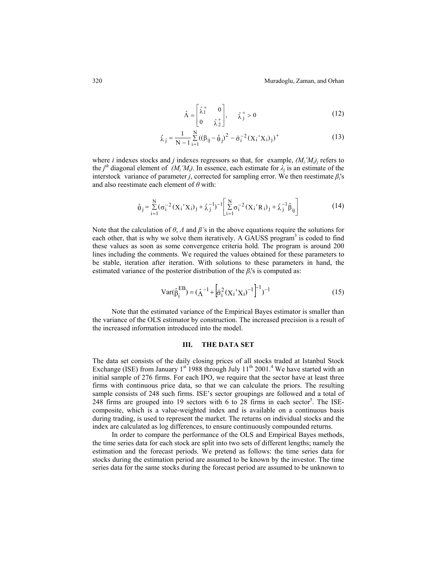$$
\hat{\Lambda} = \begin{bmatrix} \hat{\lambda}_1^+ & 0\\ 0 & \hat{\lambda}_2^+ \end{bmatrix}, \qquad \hat{\lambda}_j^+ > 0 \tag{12}
$$

$$
\hat{\lambda}_j = \frac{1}{N-1} \sum_{i=1}^{N} ((\beta_{ij} - \hat{\theta}_j)^2 - \hat{\sigma}_i^{-2} (X_i' X_i)_j)^+
$$
(13)

where *i* indexes stocks and *j* indexes regressors so that, for example,  $(M_i'M_{ij})$  refers to the *j<sup>th</sup>* diagonal element of *(M<sub>i</sub>'M<sub>i</sub>)*. In essence, each estimate for  $\lambda_j$  is an estimate of the interstock variance of parameter *j*, corrected for sampling error. We then reestimate  $\beta_i$ 's and also reestimate each element of *θ* with:

$$
\hat{\theta}_{j} = \sum_{i=1}^{N} (\sigma_{i}^{-2} (X_{i} {^{t}} X_{i})_{j} + \hat{\lambda}_{j}^{-1})^{-1} \left[ \sum_{i=1}^{N} \sigma_{i}^{-2} (X_{i} {^{t}} R_{i})_{j} + \hat{\lambda}_{j}^{-1} \hat{\beta}_{ij} \right]
$$
(14)

Note that the calculation of  $\theta$ ,  $\Lambda$  and  $\beta$ 's in the above equations require the solutions for each other, that is why we solve them iteratively. A GAUSS program<sup>3</sup> is coded to find these values as soon as some convergence criteria hold. The program is around 200 lines including the comments. We required the values obtained for these parameters to be stable, iteration after iteration. With solutions to these parameters in hand, the estimated variance of the posterior distribution of the  $\beta_i$ 's is computed as:

$$
Var(\hat{\beta}_i^{EB}) = (\hat{\Lambda}^{-1} + \left[\hat{\sigma}_i^2 (X_i' X_i)^{-1}\right]^{-1})^{-1}
$$
 (15)

Note that the estimated variance of the Empirical Bayes estimator is smaller than the variance of the OLS estimator by construction. The increased precision is a result of the increased information introduced into the model.

# **III. THE DATA SET**

The data set consists of the daily closing prices of all stocks traded at Istanbul Stock Exchange (ISE) from January  $1<sup>st</sup>$  1988 through July  $11<sup>th</sup>$  2001.<sup>4</sup> We have started with an initial sample of 276 firms. For each IPO, we require that the sector have at least three firms with continuous price data, so that we can calculate the priors. The resulting sample consists of 248 such firms. ISE's sector groupings are followed and a total of  $248$  firms are grouped into 19 sectors with 6 to 28 firms in each sector<sup>5</sup>. The ISEcomposite, which is a value-weighted index and is available on a continuous basis during trading, is used to represent the market. The returns on individual stocks and the index are calculated as log differences, to ensure continuously compounded returns.

In order to compare the performance of the OLS and Empirical Bayes methods, the time series data for each stock are split into two sets of different lengths; namely the estimation and the forecast periods. We pretend as follows: the time series data for stocks during the estimation period are assumed to be known by the investor. The time series data for the same stocks during the forecast period are assumed to be unknown to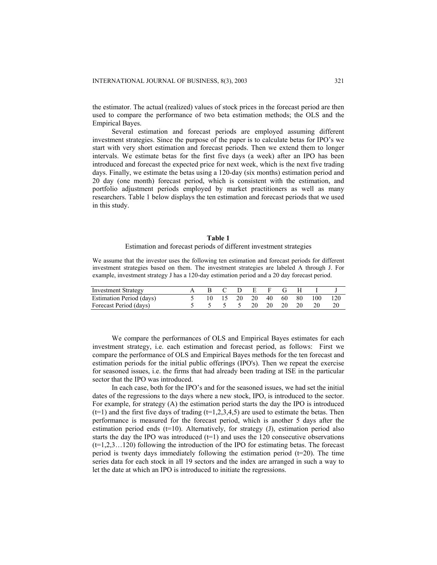the estimator. The actual (realized) values of stock prices in the forecast period are then used to compare the performance of two beta estimation methods; the OLS and the Empirical Bayes.

Several estimation and forecast periods are employed assuming different investment strategies. Since the purpose of the paper is to calculate betas for IPO's we start with very short estimation and forecast periods. Then we extend them to longer intervals. We estimate betas for the first five days (a week) after an IPO has been introduced and forecast the expected price for next week, which is the next five trading days. Finally, we estimate the betas using a 120-day (six months) estimation period and 20 day (one month) forecast period, which is consistent with the estimation, and portfolio adjustment periods employed by market practitioners as well as many researchers. Table 1 below displays the ten estimation and forecast periods that we used in this study.

## **Table 1**

#### Estimation and forecast periods of different investment strategies

We assume that the investor uses the following ten estimation and forecast periods for different investment strategies based on them. The investment strategies are labeled A through J. For example, investment strategy J has a 120-day estimation period and a 20 day forecast period.

| <b>Investment Strategy</b> |                        |  | B C D E F G H        |  |        |       |
|----------------------------|------------------------|--|----------------------|--|--------|-------|
| Estimation Period (days)   |                        |  | 10 15 20 20 40 60 80 |  | -- 100 | - 120 |
| Forecast Period (days)     | 5 5 5 5 20 20 20 20 20 |  |                      |  |        |       |

We compare the performances of OLS and Empirical Bayes estimates for each investment strategy, i.e. each estimation and forecast period, as follows: First we compare the performance of OLS and Empirical Bayes methods for the ten forecast and estimation periods for the initial public offerings (IPO's). Then we repeat the exercise for seasoned issues, i.e. the firms that had already been trading at ISE in the particular sector that the IPO was introduced.

In each case, both for the IPO's and for the seasoned issues, we had set the initial dates of the regressions to the days where a new stock, IPO, is introduced to the sector. For example, for strategy (A) the estimation period starts the day the IPO is introduced  $(t=1)$  and the first five days of trading  $(t=1,2,3,4,5)$  are used to estimate the betas. Then performance is measured for the forecast period, which is another 5 days after the estimation period ends  $(t=10)$ . Alternatively, for strategy  $(J)$ , estimation period also starts the day the IPO was introduced  $(t=1)$  and uses the 120 consecutive observations (t=1,2,3…120) following the introduction of the IPO for estimating betas. The forecast period is twenty days immediately following the estimation period  $(t=20)$ . The time series data for each stock in all 19 sectors and the index are arranged in such a way to let the date at which an IPO is introduced to initiate the regressions.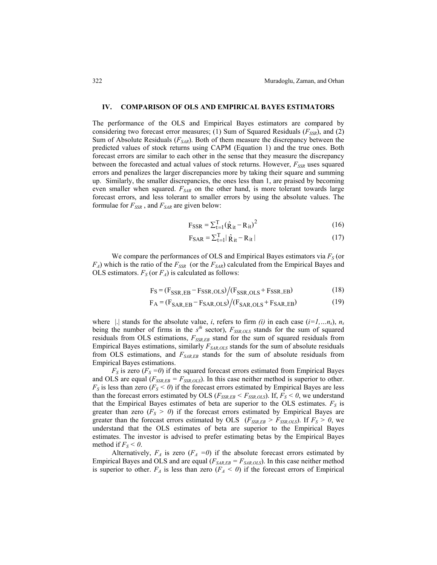#### **IV. COMPARISON OF OLS AND EMPIRICAL BAYES ESTIMATORS**

The performance of the OLS and Empirical Bayes estimators are compared by considering two forecast error measures; (1) Sum of Squared Residuals  $(F_{SSR})$ , and (2) Sum of Absolute Residuals  $(F_{SAR})$ . Both of them measure the discrepancy between the predicted values of stock returns using CAPM (Equation 1) and the true ones. Both forecast errors are similar to each other in the sense that they measure the discrepancy between the forecasted and actual values of stock returns. However,  $F_{SSR}$  uses squared errors and penalizes the larger discrepancies more by taking their square and summing up. Similarly, the smaller discrepancies, the ones less than 1, are praised by becoming even smaller when squared.  $F_{SAR}$  on the other hand, is more tolerant towards large forecast errors, and less tolerant to smaller errors by using the absolute values. The formulae for  $F_{SSR}$ , and  $F_{SAR}$  are given below:

$$
F_{\text{SSR}} = \sum_{t=1}^{T} (\hat{R}_{it} - R_{it})^2
$$
 (16)

$$
F_{\text{SAR}} = \sum_{t=1}^{T} |\hat{\mathbf{R}}_{it} - \mathbf{R}_{it}| \tag{17}
$$

We compare the performances of OLS and Empirical Bayes estimators via  $F<sub>S</sub>$  (or  $F_A$ ) which is the ratio of the  $F_{SSR}$  (or the  $F_{SAR}$ ) calculated from the Empirical Bayes and OLS estimators.  $F_S$  (or  $F_A$ ) is calculated as follows:

$$
FS = (FSSR, EB - FSSR,OLS)/(FSSR,OLS + FSSR, EB)
$$
 (18)

$$
F_A = (F_{SAR, EB} - F_{SAR,OLS}) / (F_{SAR,OLS} + F_{SAR, EB})
$$
\n(19)

where |...| stands for the absolute value, *i*, refers to firm *(i)* in each case  $(i=1,...n<sub>s</sub>)$ ,  $n<sub>s</sub>$ being the number of firms in the  $s<sup>th</sup>$  sector),  $F_{SSR,OLS}$  stands for the sum of squared residuals from OLS estimations,  $F_{SSREB}$  stand for the sum of squared residuals from Empirical Bayes estimations, similarly  $F_{SAR,OLS}$  stands for the sum of absolute residuals from OLS estimations, and *FSAR,EB* stands for the sum of absolute residuals from Empirical Bayes estimations.

 $F<sub>S</sub>$  is zero ( $F<sub>S</sub> = 0$ ) if the squared forecast errors estimated from Empirical Bayes and OLS are equal  $(F_{SSR,EB} = F_{SSR,OLS})$ . In this case neither method is superior to other.  $F<sub>S</sub>$  is less than zero ( $F<sub>S</sub> < 0$ ) if the forecast errors estimated by Empirical Bayes are less than the forecast errors estimated by OLS ( $F_{SSR,EB} < F_{SSR,OLS}$ ). If,  $F_S < 0$ , we understand that the Empirical Bayes estimates of beta are superior to the OLS estimates.  $F<sub>S</sub>$  is greater than zero  $(F_S > 0)$  if the forecast errors estimated by Empirical Bayes are greater than the forecast errors estimated by OLS ( $F_{SSR,EB} > F_{SSR,OLS}$ ). If  $F_S > 0$ , we understand that the OLS estimates of beta are superior to the Empirical Bayes estimates. The investor is advised to prefer estimating betas by the Empirical Bayes method if  $F_S < 0$ .

Alternatively,  $F_A$  is zero  $(F_A = 0)$  if the absolute forecast errors estimated by Empirical Bayes and OLS and are equal  $(F_{SAR,EB} = F_{SAR,OLS})$ . In this case neither method is superior to other.  $F_A$  is less than zero  $(F_A < 0)$  if the forecast errors of Empirical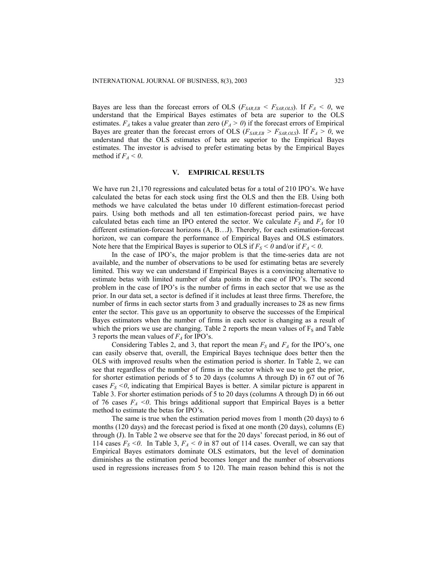Bayes are less than the forecast errors of OLS ( $F_{SAR,EB} < F_{SAR,OLS}$ ). If  $F_A < 0$ , we understand that the Empirical Bayes estimates of beta are superior to the OLS estimates.  $F_A$  takes a value greater than zero ( $F_A > 0$ ) if the forecast errors of Empirical Bayes are greater than the forecast errors of OLS ( $F_{SAR,EB} > F_{SAR,OLS}$ ). If  $F_A > 0$ , we understand that the OLS estimates of beta are superior to the Empirical Bayes estimates. The investor is advised to prefer estimating betas by the Empirical Bayes method if  $F_A < 0$ .

#### **V. EMPIRICAL RESULTS**

We have run 21,170 regressions and calculated betas for a total of 210 IPO's. We have calculated the betas for each stock using first the OLS and then the EB. Using both methods we have calculated the betas under 10 different estimation-forecast period pairs. Using both methods and all ten estimation-forecast period pairs, we have calculated betas each time an IPO entered the sector. We calculate  $F<sub>S</sub>$  and  $F<sub>A</sub>$  for 10 different estimation-forecast horizons (A, B…J). Thereby, for each estimation-forecast horizon, we can compare the performance of Empirical Bayes and OLS estimators. Note here that the Empirical Bayes is superior to OLS if  $F_S < 0$  and/or if  $F_A < 0$ .

In the case of IPO's, the major problem is that the time-series data are not available, and the number of observations to be used for estimating betas are severely limited. This way we can understand if Empirical Bayes is a convincing alternative to estimate betas with limited number of data points in the case of IPO's. The second problem in the case of IPO's is the number of firms in each sector that we use as the prior. In our data set, a sector is defined if it includes at least three firms. Therefore, the number of firms in each sector starts from 3 and gradually increases to 28 as new firms enter the sector. This gave us an opportunity to observe the successes of the Empirical Bayes estimators when the number of firms in each sector is changing as a result of which the priors we use are changing. Table 2 reports the mean values of  $F<sub>S</sub>$  and Table 3 reports the mean values of  $F_A$  for IPO's.

Considering Tables 2, and 3, that report the mean  $F_S$  and  $F_A$  for the IPO's, one can easily observe that, overall, the Empirical Bayes technique does better then the OLS with improved results when the estimation period is shorter. In Table 2, we can see that regardless of the number of firms in the sector which we use to get the prior, for shorter estimation periods of 5 to 20 days (columns A through D) in 67 out of 76 cases  $F<sub>S</sub> < 0$ , indicating that Empirical Bayes is better. A similar picture is apparent in Table 3. For shorter estimation periods of 5 to 20 days (columns A through D) in 66 out of 76 cases  $F_A < 0$ . This brings additional support that Empirical Bayes is a better method to estimate the betas for IPO's.

The same is true when the estimation period moves from 1 month (20 days) to 6 months (120 days) and the forecast period is fixed at one month (20 days), columns (E) through (J). In Table 2 we observe see that for the 20 days' forecast period, in 86 out of 114 cases  $F_S < 0$ . In Table 3,  $F_A < 0$  in 87 out of 114 cases. Overall, we can say that Empirical Bayes estimators dominate OLS estimators, but the level of domination diminishes as the estimation period becomes longer and the number of observations used in regressions increases from 5 to 120. The main reason behind this is not the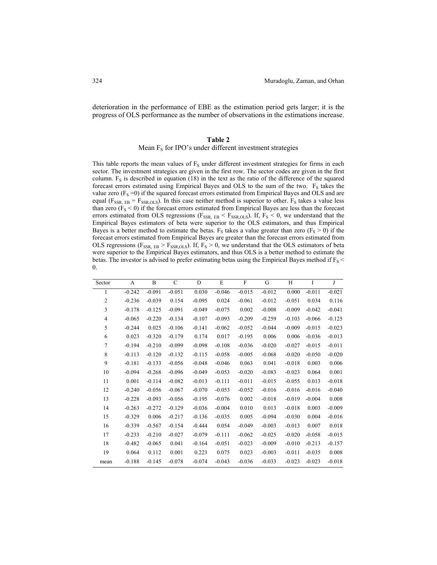deterioration in the performance of EBE as the estimation period gets larger; it is the progress of OLS performance as the number of observations in the estimations increase.

# **Table 2**

## Mean  $F_S$  for IPO's under different investment strategies

This table reports the mean values of  $F<sub>S</sub>$  under different investment strategies for firms in each sector. The investment strategies are given in the first row. The sector codes are given in the first column.  $F<sub>S</sub>$  is described in equation (18) in the text as the ratio of the difference of the squared forecast errors estimated using Empirical Bayes and OLS to the sum of the two.  $F<sub>S</sub>$  takes the value zero  $(F<sub>S</sub>=0)$  if the squared forecast errors estimated from Empirical Bayes and OLS and are equal ( $F_{SSR, EB} = F_{SSR,OLS}$ ). In this case neither method is superior to other.  $F_S$  takes a value less than zero ( $F_S < 0$ ) if the forecast errors estimated from Empirical Bayes are less than the forecast errors estimated from OLS regressions ( $F_{SSR, EB} < F_{SSR,OLS}$ ). If,  $F_S < 0$ , we understand that the Empirical Bayes estimators of beta were superior to the OLS estimators, and thus Empirical Bayes is a better method to estimate the betas.  $F<sub>S</sub>$  takes a value greater than zero ( $F<sub>S</sub> > 0$ ) if the forecast errors estimated from Empirical Bayes are greater than the forecast errors estimated from OLS regressions ( $F_{SSR, EB} > F_{SSR,OLS}$ ). If,  $F_S > 0$ , we understand that the OLS estimators of beta were superior to the Empirical Bayes estimators, and thus OLS is a better method to estimate the betas. The investor is advised to prefer estimating betas using the Empirical Bayes method if  $F_S$  < 0.

| Sector         | A        | B        | $\mathcal{C}$ | D        | E        | F        | G        | H        | I        | J        |
|----------------|----------|----------|---------------|----------|----------|----------|----------|----------|----------|----------|
| 1              | $-0.242$ | $-0.091$ | $-0.051$      | 0.030    | $-0.046$ | $-0.015$ | $-0.012$ | 0.000    | $-0.011$ | $-0.021$ |
| $\overline{c}$ | $-0.236$ | $-0.039$ | 0.154         | $-0.095$ | 0.024    | $-0.061$ | $-0.012$ | $-0.051$ | 0.034    | 0.116    |
| 3              | $-0.178$ | $-0.125$ | $-0.091$      | $-0.049$ | $-0.075$ | 0.002    | $-0.008$ | $-0.009$ | $-0.042$ | $-0.041$ |
| $\overline{4}$ | $-0.065$ | $-0.220$ | $-0.134$      | $-0.107$ | $-0.093$ | $-0.209$ | $-0.259$ | $-0.103$ | $-0.066$ | $-0.125$ |
| 5              | $-0.244$ | 0.025    | $-0.106$      | $-0.141$ | $-0.062$ | $-0.052$ | $-0.044$ | $-0.009$ | $-0.015$ | $-0.023$ |
| 6              | 0.023    | $-0.320$ | $-0.179$      | 0.174    | 0.017    | $-0.195$ | 0.006    | 0.006    | $-0.036$ | $-0.013$ |
| 7              | $-0.194$ | $-0.210$ | $-0.099$      | $-0.098$ | $-0.108$ | $-0.036$ | $-0.020$ | $-0.027$ | $-0.015$ | $-0.011$ |
| 8              | $-0.113$ | $-0.120$ | $-0.132$      | $-0.115$ | $-0.058$ | $-0.005$ | $-0.068$ | $-0.020$ | $-0.050$ | $-0.020$ |
| 9              | $-0.181$ | $-0.133$ | $-0.056$      | $-0.048$ | $-0.046$ | 0.063    | 0.041    | $-0.018$ | 0.003    | 0.006    |
| 10             | $-0.094$ | $-0.268$ | $-0.096$      | $-0.049$ | $-0.053$ | $-0.020$ | $-0.083$ | $-0.023$ | 0.064    | 0.001    |
| 11             | 0.001    | $-0.114$ | $-0.082$      | $-0.013$ | $-0.111$ | $-0.011$ | $-0.015$ | $-0.055$ | 0.013    | $-0.018$ |
| 12             | $-0.240$ | $-0.056$ | $-0.067$      | $-0.070$ | $-0.053$ | $-0.052$ | $-0.016$ | $-0.016$ | $-0.016$ | $-0.040$ |
| 13             | $-0.228$ | $-0.093$ | $-0.056$      | $-0.195$ | $-0.076$ | 0.002    | $-0.018$ | $-0.019$ | $-0.004$ | 0.008    |
| 14             | $-0.263$ | $-0.272$ | $-0.129$      | $-0.036$ | $-0.004$ | 0.010    | 0.013    | $-0.018$ | 0.003    | $-0.009$ |
| 15             | $-0.329$ | 0.006    | $-0.217$      | $-0.136$ | $-0.035$ | 0.005    | $-0.094$ | $-0.030$ | 0.004    | $-0.016$ |
| 16             | $-0.339$ | $-0.567$ | $-0.154$      | $-0.444$ | 0.054    | $-0.049$ | $-0.003$ | $-0.013$ | 0.007    | 0.018    |
| 17             | $-0.233$ | $-0.210$ | $-0.027$      | $-0.079$ | $-0.111$ | $-0.062$ | $-0.025$ | $-0.020$ | $-0.058$ | $-0.015$ |
| 18             | $-0.482$ | $-0.065$ | 0.041         | $-0.164$ | $-0.051$ | $-0.023$ | $-0.009$ | $-0.010$ | $-0.213$ | $-0.157$ |
| 19             | 0.064    | 0.112    | 0.001         | 0.223    | 0.075    | 0.023    | $-0.003$ | $-0.011$ | $-0.035$ | 0.008    |
| mean           | $-0.188$ | $-0.145$ | $-0.078$      | $-0.074$ | $-0.043$ | $-0.036$ | $-0.033$ | $-0.023$ | $-0.023$ | $-0.018$ |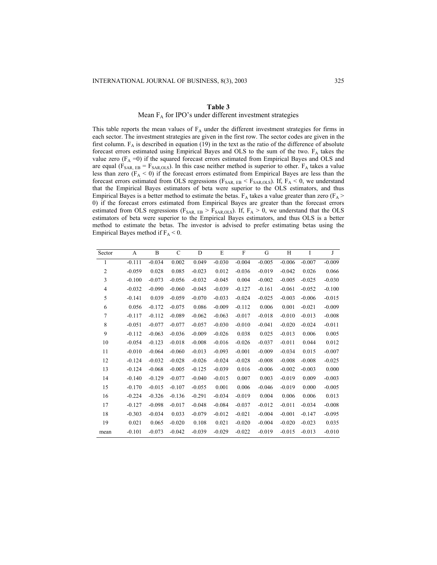## Mean  $F_A$  for IPO's under different investment strategies

This table reports the mean values of  $F_A$  under the different investment strategies for firms in each sector. The investment strategies are given in the first row. The sector codes are given in the first column.  $F_A$  is described in equation (19) in the text as the ratio of the difference of absolute forecast errors estimated using Empirical Bayes and OLS to the sum of the two.  $F_A$  takes the value zero  $(F_A = 0)$  if the squared forecast errors estimated from Empirical Bayes and OLS and are equal ( $F_{SAR, EB} = F_{SAR,OLS}$ ). In this case neither method is superior to other.  $F_A$  takes a value less than zero ( $F_A < 0$ ) if the forecast errors estimated from Empirical Bayes are less than the forecast errors estimated from OLS regressions ( $F_{SAR, EB} < F_{SAR,OLS}$ ). If,  $F_A < 0$ , we understand that the Empirical Bayes estimators of beta were superior to the OLS estimators, and thus Empirical Bayes is a better method to estimate the betas.  $F_A$  takes a value greater than zero ( $F_A$  > 0) if the forecast errors estimated from Empirical Bayes are greater than the forecast errors estimated from OLS regressions ( $F_{SAR, EB} > F_{SAR,OLS}$ ). If,  $F_A > 0$ , we understand that the OLS estimators of beta were superior to the Empirical Bayes estimators, and thus OLS is a better method to estimate the betas. The investor is advised to prefer estimating betas using the Empirical Bayes method if  $F_A < 0$ .

| A        | B        | $\mathcal{C}$ | D        | E        | F        | G        | H        | I        | J        |
|----------|----------|---------------|----------|----------|----------|----------|----------|----------|----------|
| $-0.111$ | $-0.034$ | 0.002         | 0.049    | $-0.030$ | $-0.004$ | $-0.005$ | $-0.006$ | $-0.007$ | $-0.009$ |
| $-0.059$ | 0.028    | 0.085         | $-0.023$ | 0.012    | $-0.036$ | $-0.019$ | $-0.042$ | 0.026    | 0.066    |
| $-0.100$ | $-0.073$ | $-0.056$      | $-0.032$ | $-0.045$ | 0.004    | $-0.002$ | $-0.005$ | $-0.025$ | $-0.030$ |
| $-0.032$ | $-0.090$ | $-0.060$      | $-0.045$ | $-0.039$ | $-0.127$ | $-0.161$ | $-0.061$ | $-0.052$ | $-0.100$ |
| $-0.141$ | 0.039    | $-0.059$      | $-0.070$ | $-0.033$ | $-0.024$ | $-0.025$ | $-0.003$ | $-0.006$ | $-0.015$ |
| 0.056    | $-0.172$ | $-0.075$      | 0.086    | $-0.009$ | $-0.112$ | 0.006    | 0.001    | $-0.021$ | $-0.009$ |
| $-0.117$ | $-0.112$ | $-0.089$      | $-0.062$ | $-0.063$ | $-0.017$ | $-0.018$ | $-0.010$ | $-0.013$ | $-0.008$ |
| $-0.051$ | $-0.077$ | $-0.077$      | $-0.057$ | $-0.030$ | $-0.010$ | $-0.041$ | $-0.020$ | $-0.024$ | $-0.011$ |
| $-0.112$ | $-0.063$ | $-0.036$      | $-0.009$ | $-0.026$ | 0.038    | 0.025    | $-0.013$ | 0.006    | 0.005    |
| $-0.054$ | $-0.123$ | $-0.018$      | $-0.008$ | $-0.016$ | $-0.026$ | $-0.037$ | $-0.011$ | 0.044    | 0.012    |
| $-0.010$ | $-0.064$ | $-0.060$      | $-0.013$ | $-0.093$ | $-0.001$ | $-0.009$ | $-0.034$ | 0.015    | $-0.007$ |
| $-0.124$ | $-0.032$ | $-0.028$      | $-0.026$ | $-0.024$ | $-0.028$ | $-0.008$ | $-0.008$ | $-0.008$ | $-0.025$ |
| $-0.124$ | $-0.068$ | $-0.005$      | $-0.125$ | $-0.039$ | 0.016    | $-0.006$ | $-0.002$ | $-0.003$ | 0.000    |
| $-0.140$ | $-0.129$ | $-0.077$      | $-0.040$ | $-0.015$ | 0.007    | 0.003    | $-0.019$ | 0.009    | $-0.003$ |
| $-0.170$ | $-0.015$ | $-0.107$      | $-0.055$ | 0.001    | 0.006    | $-0.046$ | $-0.019$ | 0.000    | $-0.005$ |
| $-0.224$ | $-0.326$ | $-0.136$      | $-0.291$ | $-0.034$ | $-0.019$ | 0.004    | 0.006    | 0.006    | 0.013    |
| $-0.127$ | $-0.098$ | $-0.017$      | $-0.048$ | $-0.084$ | $-0.037$ | $-0.012$ | $-0.011$ | $-0.034$ | $-0.008$ |
| $-0.303$ | $-0.034$ | 0.033         | $-0.079$ | $-0.012$ | $-0.021$ | $-0.004$ | $-0.001$ | $-0.147$ | $-0.095$ |
| 0.021    | 0.065    | $-0.020$      | 0.108    | 0.021    | $-0.020$ | $-0.004$ | $-0.020$ | $-0.023$ | 0.035    |
| $-0.101$ | $-0.073$ | $-0.042$      | $-0.039$ | $-0.029$ | $-0.022$ | $-0.019$ | $-0.015$ | $-0.013$ | $-0.010$ |
|          |          |               |          |          |          |          |          |          |          |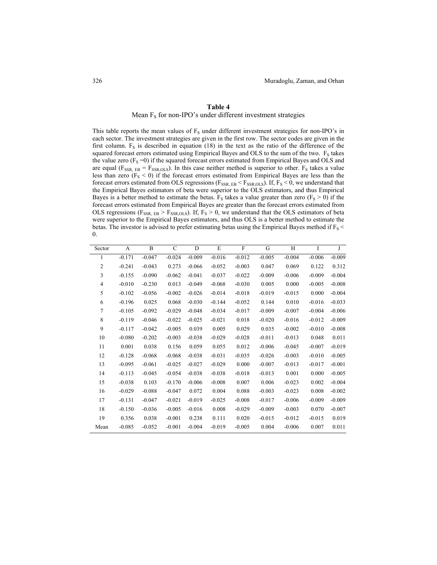Mean  $F_S$  for non-IPO's under different investment strategies

This table reports the mean values of  $F<sub>S</sub>$  under different investment strategies for non-IPO's in each sector. The investment strategies are given in the first row. The sector codes are given in the first column.  $F_S$  is described in equation (18) in the text as the ratio of the difference of the squared forecast errors estimated using Empirical Bayes and OLS to the sum of the two. F<sub>S</sub> takes the value zero  $(F_S = 0)$  if the squared forecast errors estimated from Empirical Bayes and OLS and are equal ( $F_{SSR, EB} = F_{SSR,OLS}$ ). In this case neither method is superior to other.  $F_S$  takes a value less than zero ( $F_S < 0$ ) if the forecast errors estimated from Empirical Bayes are less than the forecast errors estimated from OLS regressions ( $F_{SSR, EB} < F_{SSR,OLS}$ ). If,  $F_S < 0$ , we understand that the Empirical Bayes estimators of beta were superior to the OLS estimators, and thus Empirical Bayes is a better method to estimate the betas.  $F_S$  takes a value greater than zero ( $F_S > 0$ ) if the forecast errors estimated from Empirical Bayes are greater than the forecast errors estimated from OLS regressions ( $F_{SSR, EB} > F_{SSR,OLS}$ ). If,  $F_S > 0$ , we understand that the OLS estimators of beta were superior to the Empirical Bayes estimators, and thus OLS is a better method to estimate the betas. The investor is advised to prefer estimating betas using the Empirical Bayes method if  $F_S$  < 0.

| Sector         | A        | B        | C        | D        | E        | $\mathbf{F}$ | G        | H        | I        | J        |
|----------------|----------|----------|----------|----------|----------|--------------|----------|----------|----------|----------|
| 1              | $-0.171$ | $-0.047$ | $-0.024$ | $-0.009$ | $-0.016$ | $-0.012$     | $-0.005$ | $-0.004$ | $-0.006$ | $-0.009$ |
| $\mathfrak{2}$ | $-0.241$ | $-0.043$ | 0.273    | $-0.066$ | $-0.052$ | $-0.003$     | 0.047    | 0.069    | 0.122    | 0.312    |
| 3              | $-0.155$ | $-0.090$ | $-0.062$ | $-0.041$ | $-0.037$ | $-0.022$     | $-0.009$ | $-0.006$ | $-0.009$ | $-0.004$ |
| 4              | $-0.010$ | $-0.230$ | 0.013    | $-0.049$ | $-0.068$ | $-0.030$     | 0.005    | 0.000    | $-0.005$ | $-0.008$ |
| 5              | $-0.102$ | $-0.056$ | $-0.002$ | $-0.026$ | $-0.014$ | $-0.018$     | $-0.019$ | $-0.015$ | 0.000    | $-0.004$ |
| 6              | $-0.196$ | 0.025    | 0.068    | $-0.030$ | $-0.144$ | $-0.052$     | 0.144    | 0.010    | $-0.016$ | $-0.033$ |
| 7              | $-0.105$ | $-0.092$ | $-0.029$ | $-0.048$ | $-0.034$ | $-0.017$     | $-0.009$ | $-0.007$ | $-0.004$ | $-0.006$ |
| 8              | $-0.119$ | $-0.046$ | $-0.022$ | $-0.025$ | $-0.021$ | 0.018        | $-0.020$ | $-0.016$ | $-0.012$ | $-0.009$ |
| 9              | $-0.117$ | $-0.042$ | $-0.005$ | 0.039    | 0.005    | 0.029        | 0.035    | $-0.002$ | $-0.010$ | $-0.008$ |
| 10             | $-0.080$ | $-0.202$ | $-0.003$ | $-0.038$ | $-0.029$ | $-0.028$     | $-0.011$ | $-0.013$ | 0.048    | 0.011    |
| 11             | 0.001    | 0.038    | 0.156    | 0.059    | 0.055    | 0.012        | $-0.006$ | $-0.045$ | $-0.007$ | $-0.019$ |
| 12             | $-0.128$ | $-0.068$ | $-0.068$ | $-0.038$ | $-0.031$ | $-0.035$     | $-0.026$ | $-0.003$ | $-0.010$ | $-0.005$ |
| 13             | $-0.095$ | $-0.061$ | $-0.025$ | $-0.027$ | $-0.029$ | 0.000        | $-0.007$ | $-0.013$ | $-0.017$ | $-0.001$ |
| 14             | $-0.113$ | $-0.045$ | $-0.054$ | $-0.038$ | $-0.038$ | $-0.018$     | $-0.013$ | 0.001    | 0.000    | $-0.005$ |
| 15             | $-0.038$ | 0.103    | $-0.170$ | $-0.006$ | $-0.008$ | 0.007        | 0.006    | $-0.023$ | 0.002    | $-0.004$ |
| 16             | $-0.029$ | $-0.088$ | $-0.047$ | 0.072    | 0.004    | 0.088        | $-0.003$ | $-0.023$ | 0.008    | $-0.002$ |
| 17             | $-0.131$ | $-0.047$ | $-0.021$ | $-0.019$ | $-0.025$ | $-0.008$     | $-0.017$ | $-0.006$ | $-0.009$ | $-0.009$ |
| 18             | $-0.150$ | $-0.036$ | $-0.005$ | $-0.016$ | 0.008    | $-0.029$     | $-0.009$ | $-0.003$ | 0.070    | $-0.007$ |
| 19             | 0.356    | 0.038    | $-0.001$ | 0.238    | 0.111    | 0.020        | $-0.015$ | $-0.012$ | $-0.015$ | 0.019    |
| Mean           | $-0.085$ | $-0.052$ | $-0.001$ | $-0.004$ | $-0.019$ | $-0.005$     | 0.004    | $-0.006$ | 0.007    | 0.011    |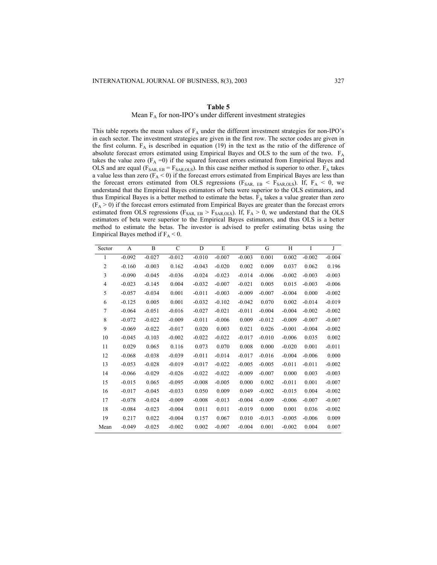# Mean  $F_A$  for non-IPO's under different investment strategies

This table reports the mean values of  $F_A$  under the different investment strategies for non-IPO's in each sector. The investment strategies are given in the first row. The sector codes are given in the first column.  $F_A$  is described in equation (19) in the text as the ratio of the difference of absolute forecast errors estimated using Empirical Bayes and OLS to the sum of the two. FA takes the value zero  $(F_A = 0)$  if the squared forecast errors estimated from Empirical Bayes and OLS and are equal ( $F_{SAR, EB} = F_{SAR,OLS}$ ). In this case neither method is superior to other.  $F_A$  takes a value less than zero  $(F_A \le 0)$  if the forecast errors estimated from Empirical Bayes are less than the forecast errors estimated from OLS regressions ( $F_{SAR, EB} < F_{SAR,OLS}$ ). If,  $F_A < 0$ , we understand that the Empirical Bayes estimators of beta were superior to the OLS estimators, and thus Empirical Bayes is a better method to estimate the betas.  $F_A$  takes a value greater than zero  $(F_A > 0)$  if the forecast errors estimated from Empirical Bayes are greater than the forecast errors estimated from OLS regressions ( $F_{SAR, EB} > F_{SAR,OLS}$ ). If,  $F_A > 0$ , we understand that the OLS estimators of beta were superior to the Empirical Bayes estimators, and thus OLS is a better method to estimate the betas. The investor is advised to prefer estimating betas using the Empirical Bayes method if  $F_A < 0$ .

| Sector         | А        | B        | C        | D        | E        | F        | G        | H        | I        | J        |
|----------------|----------|----------|----------|----------|----------|----------|----------|----------|----------|----------|
| 1              | $-0.092$ | $-0.027$ | $-0.012$ | $-0.010$ | $-0.007$ | $-0.003$ | 0.001    | 0.002    | $-0.002$ | $-0.004$ |
| $\overline{2}$ | $-0.160$ | $-0.003$ | 0.162    | $-0.043$ | $-0.020$ | 0.002    | 0.009    | 0.037    | 0.062    | 0.196    |
| 3              | $-0.090$ | $-0.045$ | $-0.036$ | $-0.024$ | $-0.023$ | $-0.014$ | $-0.006$ | $-0.002$ | $-0.003$ | $-0.003$ |
| $\overline{4}$ | $-0.023$ | $-0.145$ | 0.004    | $-0.032$ | $-0.007$ | $-0.021$ | 0.005    | 0.015    | $-0.003$ | $-0.006$ |
| 5              | $-0.057$ | $-0.034$ | 0.001    | $-0.011$ | $-0.003$ | $-0.009$ | $-0.007$ | $-0.004$ | 0.000    | $-0.002$ |
| 6              | $-0.125$ | 0.005    | 0.001    | $-0.032$ | $-0.102$ | $-0.042$ | 0.070    | 0.002    | $-0.014$ | $-0.019$ |
| 7              | $-0.064$ | $-0.051$ | $-0.016$ | $-0.027$ | $-0.021$ | $-0.011$ | $-0.004$ | $-0.004$ | $-0.002$ | $-0.002$ |
| 8              | $-0.072$ | $-0.022$ | $-0.009$ | $-0.011$ | $-0.006$ | 0.009    | $-0.012$ | $-0.009$ | $-0.007$ | $-0.007$ |
| 9              | $-0.069$ | $-0.022$ | $-0.017$ | 0.020    | 0.003    | 0.021    | 0.026    | $-0.001$ | $-0.004$ | $-0.002$ |
| 10             | $-0.045$ | $-0.103$ | $-0.002$ | $-0.022$ | $-0.022$ | $-0.017$ | $-0.010$ | $-0.006$ | 0.035    | 0.002    |
| 11             | 0.029    | 0.065    | 0.116    | 0.073    | 0.070    | 0.008    | 0.000    | $-0.020$ | 0.001    | $-0.011$ |
| 12             | $-0.068$ | $-0.038$ | $-0.039$ | $-0.011$ | $-0.014$ | $-0.017$ | $-0.016$ | $-0.004$ | $-0.006$ | 0.000    |
| 13             | $-0.053$ | $-0.028$ | $-0.019$ | $-0.017$ | $-0.022$ | $-0.005$ | $-0.005$ | $-0.011$ | $-0.011$ | $-0.002$ |
| 14             | $-0.066$ | $-0.029$ | $-0.026$ | $-0.022$ | $-0.022$ | $-0.009$ | $-0.007$ | 0.000    | 0.003    | $-0.003$ |
| 15             | $-0.015$ | 0.065    | $-0.095$ | $-0.008$ | $-0.005$ | 0.000    | 0.002    | $-0.011$ | 0.001    | $-0.007$ |
| 16             | $-0.017$ | $-0.045$ | $-0.033$ | 0.050    | 0.009    | 0.049    | $-0.002$ | $-0.015$ | 0.004    | $-0.002$ |
| 17             | $-0.078$ | $-0.024$ | $-0.009$ | $-0.008$ | $-0.013$ | $-0.004$ | $-0.009$ | $-0.006$ | $-0.007$ | $-0.007$ |
| 18             | $-0.084$ | $-0.023$ | $-0.004$ | 0.011    | 0.011    | $-0.019$ | 0.000    | 0.001    | 0.036    | $-0.002$ |
| 19             | 0.217    | 0.022    | $-0.004$ | 0.157    | 0.067    | 0.010    | $-0.013$ | $-0.005$ | $-0.006$ | 0.009    |
| Mean           | $-0.049$ | $-0.025$ | $-0.002$ | 0.002    | $-0.007$ | $-0.004$ | 0.001    | $-0.002$ | 0.004    | 0.007    |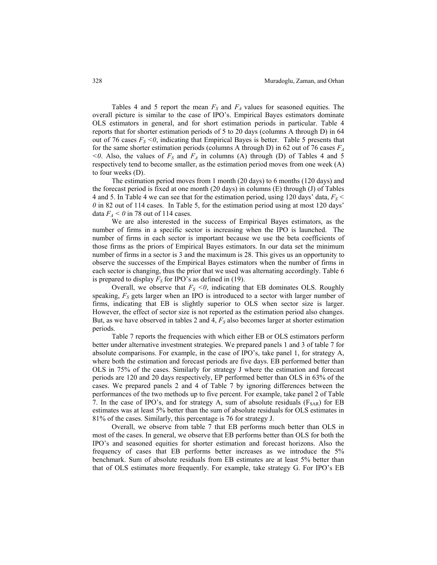Tables 4 and 5 report the mean  $F<sub>S</sub>$  and  $F<sub>A</sub>$  values for seasoned equities. The overall picture is similar to the case of IPO's. Empirical Bayes estimators dominate OLS estimators in general, and for short estimation periods in particular. Table 4 reports that for shorter estimation periods of 5 to 20 days (columns A through D) in 64 out of 76 cases  $F_s < 0$ , indicating that Empirical Bayes is better. Table 5 presents that for the same shorter estimation periods (columns A through D) in 62 out of 76 cases  $F_A$  $\leq 0$ . Also, the values of  $F_S$  and  $F_A$  in columns (A) through (D) of Tables 4 and 5 respectively tend to become smaller, as the estimation period moves from one week (A) to four weeks (D).

The estimation period moves from 1 month (20 days) to 6 months (120 days) and the forecast period is fixed at one month (20 days) in columns (E) through (J) of Tables 4 and 5. In Table 4 we can see that for the estimation period, using 120 days' data,  $F_s$  < *0* in 82 out of 114 cases. In Table 5, for the estimation period using at most 120 days' data  $F_A < 0$  in 78 out of 114 cases.

We are also interested in the success of Empirical Bayes estimators, as the number of firms in a specific sector is increasing when the IPO is launched. The number of firms in each sector is important because we use the beta coefficients of those firms as the priors of Empirical Bayes estimators. In our data set the minimum number of firms in a sector is 3 and the maximum is 28. This gives us an opportunity to observe the successes of the Empirical Bayes estimators when the number of firms in each sector is changing, thus the prior that we used was alternating accordingly. Table 6 is prepared to display  $F<sub>S</sub>$  for IPO's as defined in (19).

Overall, we observe that  $F_s \leq 0$ , indicating that EB dominates OLS. Roughly speaking,  $F<sub>S</sub>$  gets larger when an IPO is introduced to a sector with larger number of firms, indicating that EB is slightly superior to OLS when sector size is larger. However, the effect of sector size is not reported as the estimation period also changes. But, as we have observed in tables 2 and 4,  $F<sub>S</sub>$  also becomes larger at shorter estimation periods.

Table 7 reports the frequencies with which either EB or OLS estimators perform better under alternative investment strategies. We prepared panels 1 and 3 of table 7 for absolute comparisons. For example, in the case of IPO's, take panel 1, for strategy A, where both the estimation and forecast periods are five days. EB performed better than OLS in 75% of the cases. Similarly for strategy J where the estimation and forecast periods are 120 and 20 days respectively, EP performed better than OLS in 63% of the cases. We prepared panels 2 and 4 of Table 7 by ignoring differences between the performances of the two methods up to five percent. For example, take panel 2 of Table 7. In the case of IPO's, and for strategy A, sum of absolute residuals  $(F_{SAR})$  for EB estimates was at least 5% better than the sum of absolute residuals for OLS estimates in 81% of the cases. Similarly, this percentage is 76 for strategy J.

Overall, we observe from table 7 that EB performs much better than OLS in most of the cases. In general, we observe that EB performs better than OLS for both the IPO's and seasoned equities for shorter estimation and forecast horizons. Also the frequency of cases that EB performs better increases as we introduce the 5% benchmark. Sum of absolute residuals from EB estimates are at least 5% better than that of OLS estimates more frequently. For example, take strategy G. For IPO's EB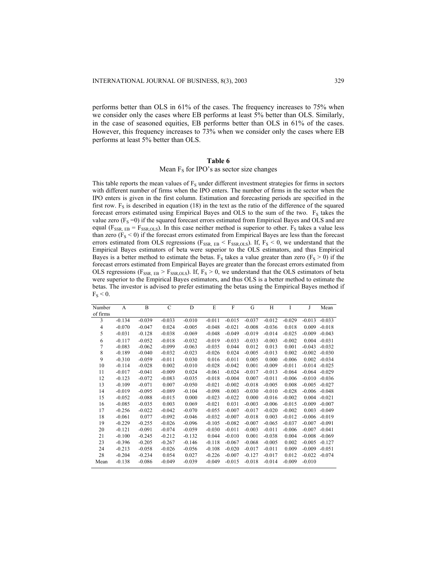performs better than OLS in 61% of the cases. The frequency increases to 75% when we consider only the cases where EB performs at least 5% better than OLS. Similarly, in the case of seasoned equities, EB performs better than OLS in 61% of the cases. However, this frequency increases to 73% when we consider only the cases where EB performs at least 5% better than OLS.

# **Table 6**

# Mean  $F<sub>S</sub>$  for IPO's as sector size changes

This table reports the mean values of  $F_S$  under different investment strategies for firms in sectors with different number of firms when the IPO enters. The number of firms in the sector when the IPO enters is given in the first column. Estimation and forecasting periods are specified in the first row.  $F<sub>S</sub>$  is described in equation (18) in the text as the ratio of the difference of the squared forecast errors estimated using Empirical Bayes and OLS to the sum of the two.  $F<sub>S</sub>$  takes the value zero  $(F<sub>S</sub>=0)$  if the squared forecast errors estimated from Empirical Bayes and OLS and are equal ( $F_{SSR, EB} = F_{SSR,OLS}$ ). In this case neither method is superior to other.  $F_S$  takes a value less than zero ( $F<sub>S</sub> < 0$ ) if the forecast errors estimated from Empirical Bayes are less than the forecast errors estimated from OLS regressions ( $F_{SSR, EB} < F_{SSR,OLS}$ ). If,  $F_S < 0$ , we understand that the Empirical Bayes estimators of beta were superior to the OLS estimators, and thus Empirical Bayes is a better method to estimate the betas.  $F_S$  takes a value greater than zero ( $F_S > 0$ ) if the forecast errors estimated from Empirical Bayes are greater than the forecast errors estimated from OLS regressions ( $F_{SSR, EB} > F_{SSR,OLS}$ ). If,  $F_S > 0$ , we understand that the OLS estimators of beta were superior to the Empirical Bayes estimators, and thus OLS is a better method to estimate the betas. The investor is advised to prefer estimating the betas using the Empirical Bayes method if  $F_S \leq 0$ .

| Number   | A        | B        | C        | D        | E        | F        | G        | H        | I        | J        | Mean     |
|----------|----------|----------|----------|----------|----------|----------|----------|----------|----------|----------|----------|
| of firms |          |          |          |          |          |          |          |          |          |          |          |
| 3        | $-0.134$ | $-0.039$ | $-0.033$ | $-0.010$ | $-0.011$ | $-0.015$ | $-0.037$ | $-0.012$ | $-0.029$ | $-0.013$ | $-0.033$ |
| 4        | $-0.070$ | $-0.047$ | 0.024    | $-0.005$ | $-0.048$ | $-0.021$ | $-0.008$ | $-0.036$ | 0.018    | 0.009    | $-0.018$ |
| 5        | $-0.031$ | $-0.128$ | $-0.038$ | $-0.069$ | $-0.048$ | $-0.049$ | $-0.019$ | $-0.014$ | $-0.025$ | $-0.009$ | $-0.043$ |
| 6        | $-0.117$ | $-0.052$ | $-0.018$ | $-0.032$ | $-0.019$ | $-0.033$ | $-0.033$ | $-0.003$ | $-0.002$ | 0.004    | $-0.031$ |
| 7        | $-0.083$ | $-0.062$ | $-0.099$ | $-0.063$ | $-0.035$ | 0.044    | 0.012    | 0.013    | 0.001    | $-0.043$ | $-0.032$ |
| 8        | $-0.189$ | $-0.040$ | $-0.032$ | $-0.023$ | $-0.026$ | 0.024    | $-0.005$ | $-0.013$ | 0.002    | $-0.002$ | $-0.030$ |
| 9        | $-0.310$ | $-0.059$ | $-0.011$ | 0.030    | 0.016    | $-0.011$ | 0.005    | 0.000    | $-0.006$ | 0.002    | $-0.034$ |
| 10       | $-0.114$ | $-0.028$ | 0.002    | $-0.010$ | $-0.028$ | $-0.042$ | 0.001    | $-0.009$ | $-0.011$ | $-0.014$ | $-0.025$ |
| 11       | $-0.017$ | $-0.041$ | $-0.009$ | 0.024    | $-0.061$ | $-0.024$ | $-0.017$ | $-0.013$ | $-0.064$ | $-0.064$ | $-0.029$ |
| 12       | $-0.123$ | $-0.072$ | $-0.083$ | $-0.035$ | $-0.018$ | $-0.004$ | 0.007    | $-0.011$ | $-0.006$ | $-0.010$ | $-0.036$ |
| 13       | $-0.109$ | $-0.071$ | 0.007    | $-0.050$ | $-0.021$ | $-0.002$ | $-0.018$ | $-0.005$ | 0.008    | $-0.005$ | $-0.027$ |
| 14       | $-0.019$ | $-0.095$ | $-0.089$ | $-0.104$ | $-0.098$ | $-0.003$ | $-0.030$ | $-0.010$ | $-0.028$ | $-0.006$ | $-0.048$ |
| 15       | $-0.052$ | $-0.088$ | $-0.015$ | 0.000    | $-0.023$ | $-0.022$ | 0.000    | $-0.016$ | $-0.002$ | 0.004    | $-0.021$ |
| 16       | $-0.085$ | $-0.035$ | 0.003    | 0.069    | $-0.021$ | 0.031    | $-0.003$ | $-0.006$ | $-0.015$ | $-0.009$ | $-0.007$ |
| 17       | $-0.256$ | $-0.022$ | $-0.042$ | $-0.070$ | $-0.055$ | $-0.007$ | $-0.017$ | $-0.020$ | $-0.002$ | 0.003    | $-0.049$ |
| 18       | $-0.061$ | 0.077    | $-0.092$ | $-0.046$ | $-0.032$ | $-0.007$ | $-0.018$ | 0.003    | $-0.012$ | $-0.006$ | $-0.019$ |
| 19       | $-0.229$ | $-0.255$ | $-0.026$ | $-0.096$ | $-0.105$ | $-0.082$ | $-0.007$ | $-0.065$ | $-0.037$ | $-0.007$ | $-0.091$ |
| 20       | $-0.121$ | $-0.091$ | $-0.074$ | $-0.059$ | $-0.030$ | $-0.011$ | $-0.003$ | $-0.011$ | $-0.006$ | $-0.007$ | $-0.041$ |
| 21       | $-0.100$ | $-0.245$ | $-0.212$ | $-0.132$ | 0.044    | $-0.010$ | 0.001    | $-0.038$ | 0.004    | $-0.008$ | $-0.069$ |
| 23       | $-0.396$ | $-0.205$ | $-0.267$ | $-0.146$ | $-0.118$ | $-0.067$ | $-0.068$ | $-0.005$ | 0.002    | $-0.005$ | $-0.127$ |
| 24       | $-0.213$ | $-0.058$ | $-0.026$ | $-0.056$ | $-0.108$ | $-0.020$ | $-0.017$ | $-0.011$ | 0.009    | $-0.009$ | $-0.051$ |
| 28       | $-0.204$ | $-0.234$ | 0.054    | 0.027    | $-0.226$ | $-0.007$ | $-0.127$ | $-0.017$ | 0.012    | $-0.022$ | $-0.074$ |
| Mean     | $-0.138$ | $-0.086$ | $-0.049$ | $-0.039$ | $-0.049$ | $-0.015$ | $-0.018$ | $-0.014$ | $-0.009$ | $-0.010$ |          |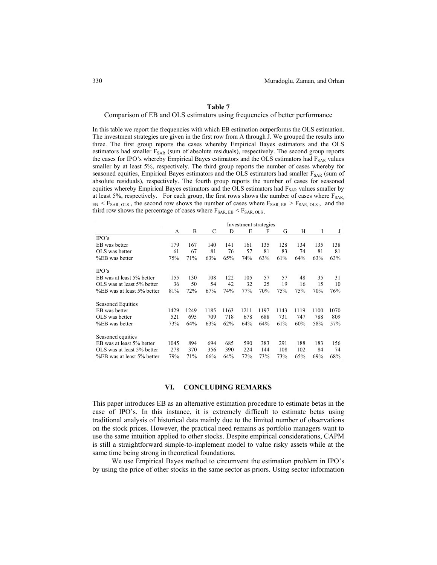#### Comparison of EB and OLS estimators using frequencies of better performance

In this table we report the frequencies with which EB estimation outperforms the OLS estimation. The investment strategies are given in the first row from A through J. We grouped the results into three. The first group reports the cases whereby Empirical Bayes estimators and the OLS estimators had smaller  $F_{SAR}$  (sum of absolute residuals), respectively. The second group reports the cases for IPO's whereby Empirical Bayes estimators and the OLS estimators had FSAR values smaller by at least 5%, respectively. The third group reports the number of cases whereby for seasoned equities, Empirical Bayes estimators and the OLS estimators had smaller  $F_{SAR}$  (sum of absolute residuals), respectively. The fourth group reports the number of cases for seasoned equities whereby Empirical Bayes estimators and the OLS estimators had F<sub>SAR</sub> values smaller by at least 5%, respectively. For each group, the first rows shows the number of cases where  $F_{SAR}$  $_{EB}$  <  $F_{SAR, OLS}$ , the second row shows the number of cases where  $F_{SAR, EB}$  >  $F_{SAR, OLS}$ , and the third row shows the percentage of cases where  $F_{\text{SAR, EB}} < F_{\text{SAR, OLS}}$ .

|                            | Investment strategies |      |      |      |      |      |      |      |      |      |
|----------------------------|-----------------------|------|------|------|------|------|------|------|------|------|
|                            | А                     | B    | C    | D    | E    | F    | G    | H    |      | J    |
| $\rm IPO's$                |                       |      |      |      |      |      |      |      |      |      |
| EB was better              | 179                   | 167  | 140  | 141  | 161  | 135  | 128  | 134  | 135  | 138  |
| OLS was better             | 61                    | 67   | 81   | 76   | 57   | 81   | 83   | 74   | 81   | 81   |
| %EB was better             | 75%                   | 71%  | 63%  | 65%  | 74%  | 63%  | 61%  | 64%  | 63%  | 63%  |
| $\rm IPO's$                |                       |      |      |      |      |      |      |      |      |      |
| EB was at least 5% better  | 155                   | 130  | 108  | 122  | 105  | 57   | 57   | 48   | 35   | 31   |
| OLS was at least 5% better | 36                    | 50   | 54   | 42   | 32   | 25   | 19   | 16   | 15   | 10   |
| %EB was at least 5% better | 81%                   | 72%  | 67%  | 74%  | 77%  | 70%  | 75%  | 75%  | 70%  | 76%  |
| <b>Seasoned Equities</b>   |                       |      |      |      |      |      |      |      |      |      |
| EB was better              | 1429                  | 1249 | 1185 | 1163 | 1211 | 1197 | 1143 | 1119 | 1100 | 1070 |
| OLS was better             | 521                   | 695  | 709  | 718  | 678  | 688  | 731  | 747  | 788  | 809  |
| %EB was better             | 73%                   | 64%  | 63%  | 62%  | 64%  | 64%  | 61%  | 60%  | 58%  | 57%  |
| Seasoned equities          |                       |      |      |      |      |      |      |      |      |      |
| EB was at least 5% better  | 1045                  | 894  | 694  | 685  | 590  | 383  | 291  | 188  | 183  | 156  |
| OLS was at least 5% better | 278                   | 370  | 356  | 390  | 224  | 144  | 108  | 102  | 84   | 74   |
| %EB was at least 5% better | 79%                   | 71%  | 66%  | 64%  | 72%  | 73%  | 73%  | 65%  | 69%  | 68%  |

#### **VI. CONCLUDING REMARKS**

This paper introduces EB as an alternative estimation procedure to estimate betas in the case of IPO's. In this instance, it is extremely difficult to estimate betas using traditional analysis of historical data mainly due to the limited number of observations on the stock prices. However, the practical need remains as portfolio managers want to use the same intuition applied to other stocks. Despite empirical considerations, CAPM is still a straightforward simple-to-implement model to value risky assets while at the same time being strong in theoretical foundations.

We use Empirical Bayes method to circumvent the estimation problem in IPO's by using the price of other stocks in the same sector as priors. Using sector information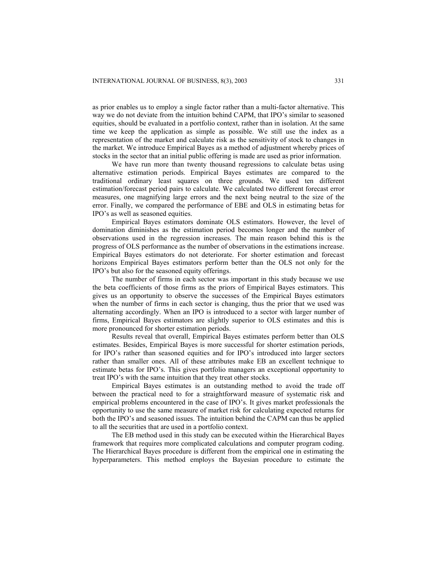as prior enables us to employ a single factor rather than a multi-factor alternative. This way we do not deviate from the intuition behind CAPM, that IPO's similar to seasoned equities, should be evaluated in a portfolio context, rather than in isolation. At the same time we keep the application as simple as possible. We still use the index as a representation of the market and calculate risk as the sensitivity of stock to changes in the market. We introduce Empirical Bayes as a method of adjustment whereby prices of stocks in the sector that an initial public offering is made are used as prior information.

We have run more than twenty thousand regressions to calculate betas using alternative estimation periods. Empirical Bayes estimates are compared to the traditional ordinary least squares on three grounds. We used ten different estimation/forecast period pairs to calculate. We calculated two different forecast error measures, one magnifying large errors and the next being neutral to the size of the error. Finally, we compared the performance of EBE and OLS in estimating betas for IPO's as well as seasoned equities.

Empirical Bayes estimators dominate OLS estimators. However, the level of domination diminishes as the estimation period becomes longer and the number of observations used in the regression increases. The main reason behind this is the progress of OLS performance as the number of observations in the estimations increase. Empirical Bayes estimators do not deteriorate. For shorter estimation and forecast horizons Empirical Bayes estimators perform better than the OLS not only for the IPO's but also for the seasoned equity offerings.

The number of firms in each sector was important in this study because we use the beta coefficients of those firms as the priors of Empirical Bayes estimators. This gives us an opportunity to observe the successes of the Empirical Bayes estimators when the number of firms in each sector is changing, thus the prior that we used was alternating accordingly. When an IPO is introduced to a sector with larger number of firms, Empirical Bayes estimators are slightly superior to OLS estimates and this is more pronounced for shorter estimation periods.

Results reveal that overall, Empirical Bayes estimates perform better than OLS estimates. Besides, Empirical Bayes is more successful for shorter estimation periods, for IPO's rather than seasoned equities and for IPO's introduced into larger sectors rather than smaller ones. All of these attributes make EB an excellent technique to estimate betas for IPO's. This gives portfolio managers an exceptional opportunity to treat IPO's with the same intuition that they treat other stocks.

Empirical Bayes estimates is an outstanding method to avoid the trade off between the practical need to for a straightforward measure of systematic risk and empirical problems encountered in the case of IPO's. It gives market professionals the opportunity to use the same measure of market risk for calculating expected returns for both the IPO's and seasoned issues. The intuition behind the CAPM can thus be applied to all the securities that are used in a portfolio context.

The EB method used in this study can be executed within the Hierarchical Bayes framework that requires more complicated calculations and computer program coding. The Hierarchical Bayes procedure is different from the empirical one in estimating the hyperparameters. This method employs the Bayesian procedure to estimate the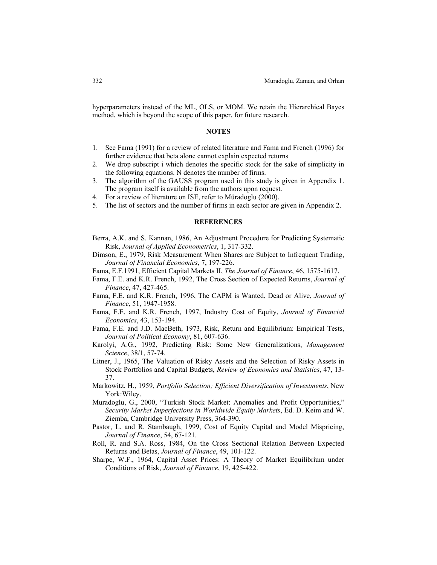hyperparameters instead of the ML, OLS, or MOM. We retain the Hierarchical Bayes method, which is beyond the scope of this paper, for future research.

## **NOTES**

- 1. See Fama (1991) for a review of related literature and Fama and French (1996) for further evidence that beta alone cannot explain expected returns
- 2. We drop subscript i which denotes the specific stock for the sake of simplicity in the following equations. N denotes the number of firms.
- 3. The algorithm of the GAUSS program used in this study is given in Appendix 1. The program itself is available from the authors upon request.
- 4. For a review of literature on ISE, refer to Müradoglu (2000).
- 5. The list of sectors and the number of firms in each sector are given in Appendix 2.

#### **REFERENCES**

- Berra, A.K. and S. Kannan, 1986, An Adjustment Procedure for Predicting Systematic Risk, *Journal of Applied Econometrics*, 1, 317-332.
- Dimson, E., 1979, Risk Measurement When Shares are Subject to Infrequent Trading, *Journal of Financial Economics*, 7, 197-226.
- Fama, E.F.1991, Efficient Capital Markets II, *The Journal of Finance*, 46, 1575-1617.
- Fama, F.E. and K.R. French, 1992, The Cross Section of Expected Returns, *Journal of Finance*, 47, 427-465.
- Fama, F.E. and K.R. French, 1996, The CAPM is Wanted, Dead or Alive, *Journal of Finance*, 51, 1947-1958.
- Fama, F.E. and K.R. French, 1997, Industry Cost of Equity, *Journal of Financial Economics*, 43, 153-194.
- Fama, F.E. and J.D. MacBeth, 1973, Risk, Return and Equilibrium: Empirical Tests, *Journal of Political Economy*, 81, 607-636.
- Karolyi, A.G., 1992, Predicting Risk: Some New Generalizations, *Management Science*, 38/1, 57-74.
- Litner, J., 1965, The Valuation of Risky Assets and the Selection of Risky Assets in Stock Portfolios and Capital Budgets, *Review of Economics and Statistics*, 47, 13- 37.
- Markowitz, H., 1959, *Portfolio Selection; Efficient Diversification of Investments*, New York:Wiley.
- Muradoglu, G., 2000, "Turkish Stock Market: Anomalies and Profit Opportunities," *Security Market Imperfections in Worldwide Equity Markets*, Ed. D. Keim and W. Ziemba, Cambridge University Press, 364-390.
- Pastor, L. and R. Stambaugh, 1999, Cost of Equity Capital and Model Mispricing, *Journal of Finance*, 54, 67-121.
- Roll, R. and S.A. Ross, 1984, On the Cross Sectional Relation Between Expected Returns and Betas, *Journal of Finance*, 49, 101-122.
- Sharpe, W.F., 1964, Capital Asset Prices: A Theory of Market Equilibrium under Conditions of Risk, *Journal of Finance*, 19, 425-422.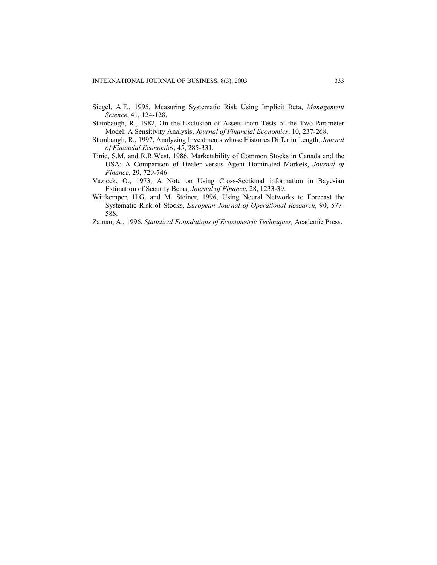- Siegel, A.F., 1995, Measuring Systematic Risk Using Implicit Beta, *Management Science*, 41, 124-128.
- Stambaugh, R., 1982, On the Exclusion of Assets from Tests of the Two-Parameter Model: A Sensitivity Analysis, *Journal of Financial Economics*, 10, 237-268.
- Stambaugh, R., 1997, Analyzing Investments whose Histories Differ in Length, *Journal of Financial Economics*, 45, 285-331.
- Tinic, S.M. and R.R.West, 1986, Marketability of Common Stocks in Canada and the USA: A Comparison of Dealer versus Agent Dominated Markets, *Journal of Finance*, 29, 729-746.
- Vazicek, O., 1973, A Note on Using Cross-Sectional information in Bayesian Estimation of Security Betas, *Journal of Finance*, 28, 1233-39.
- Wittkemper, H.G. and M. Steiner, 1996, Using Neural Networks to Forecast the Systematic Risk of Stocks, *European Journal of Operational Research*, 90, 577- 588.
- Zaman, A., 1996, *Statistical Foundations of Econometric Techniques,* Academic Press.